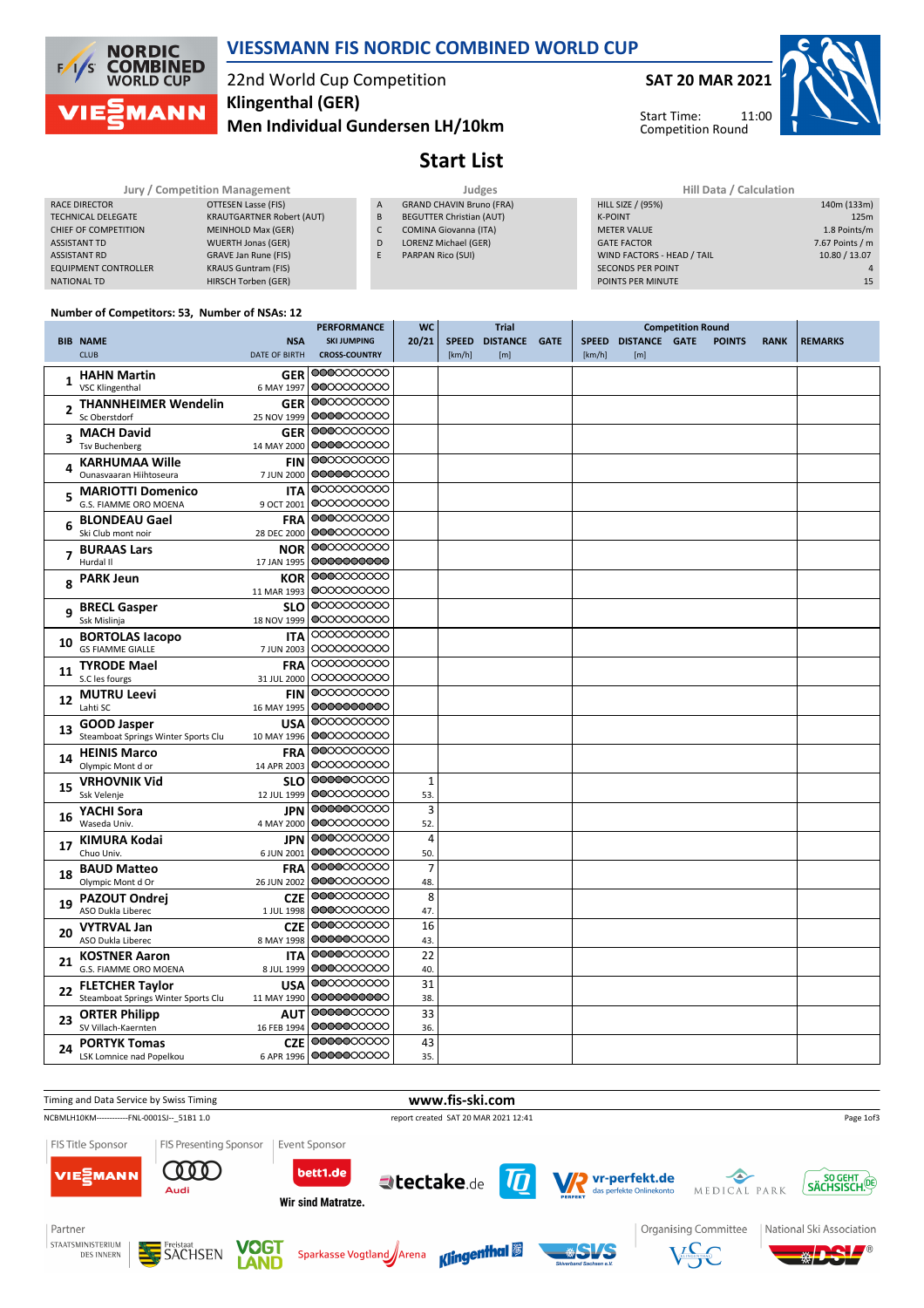

### **VIESSMANN FIS NORDIC COMBINED WORLD CUP**

# 22nd World Cup Competition **Klingenthal (GER)**

**Men Individual Gundersen LH/10km**

**SAT 20 MAR 2021**

Start Time: Competition Round

11:00



# **Start List**

|                             | <b>JULY / CONDENTION Management</b> |              |
|-----------------------------|-------------------------------------|--------------|
| RACE DIRECTOR               | OTTESEN Lasse (FIS)                 | $\mathsf{A}$ |
| <b>TECHNICAL DELEGATE</b>   | <b>KRAUTGARTNER Robert (AUT)</b>    | B            |
| CHIEF OF COMPETITION        | <b>MEINHOLD Max (GER)</b>           |              |
| <b>ASSISTANT TD</b>         | <b>WUERTH Jonas (GER)</b>           | D            |
| <b>ASSISTANT RD</b>         | <b>GRAVE Jan Rune (FIS)</b>         | E            |
| <b>EQUIPMENT CONTROLLER</b> | <b>KRAUS Guntram (FIS)</b>          |              |
| <b>NATIONAL TD</b>          | HIRSCH Torben (GER)                 |              |

- GRAND CHAVIN Bruno (FRA) BEGUTTER Christian (AUT) COMINA Giovanna (ITA) LORENZ Michael (GER)
- PARPAN Rico (SUI)

| / Competition Management |                                  |                | Judges                          | Hill Data / Calculation    |                 |  |  |  |
|--------------------------|----------------------------------|----------------|---------------------------------|----------------------------|-----------------|--|--|--|
|                          | OTTESEN Lasse (FIS)              | $\overline{A}$ | <b>GRAND CHAVIN Bruno (FRA)</b> | <b>HILL SIZE / (95%)</b>   | 140m (133m)     |  |  |  |
|                          | <b>KRAUTGARTNER Robert (AUT)</b> | B              | <b>BEGUTTER Christian (AUT)</b> | K-POINT                    | 125m            |  |  |  |
|                          | MEINHOLD Max (GER)               |                | <b>COMINA Giovanna (ITA)</b>    | <b>METER VALUE</b>         | 1.8 Points/m    |  |  |  |
|                          | <b>WUERTH Jonas (GER)</b>        | D              | LORENZ Michael (GER)            | <b>GATE FACTOR</b>         | 7.67 Points / m |  |  |  |
|                          | <b>GRAVE Jan Rune (FIS)</b>      |                | PARPAN Rico (SUI)               | WIND FACTORS - HEAD / TAIL | 10.80 / 13.07   |  |  |  |
|                          | <b>KRAUS Guntram (FIS)</b>       |                |                                 | <b>SECONDS PER POINT</b>   | $\Delta$        |  |  |  |
|                          | HIRSCH Torben (GER)              |                |                                 | POINTS PER MINUTE          | 15              |  |  |  |
|                          |                                  |                |                                 |                            |                 |  |  |  |

#### **Number of Competitors: 53, Number of NSAs: 12**

|    |                                                          |                          | <b>PERFORMANCE</b>      | <b>WC</b>      |        | <b>Trial</b>        |        |                     | <b>Competition Round</b> |               |             |                |
|----|----------------------------------------------------------|--------------------------|-------------------------|----------------|--------|---------------------|--------|---------------------|--------------------------|---------------|-------------|----------------|
|    | <b>BIB NAME</b>                                          | <b>NSA</b>               | <b>SKI JUMPING</b>      | 20/21          |        | SPEED DISTANCE GATE |        | SPEED DISTANCE GATE |                          | <b>POINTS</b> | <b>RANK</b> | <b>REMARKS</b> |
|    | <b>CLUB</b>                                              | <b>DATE OF BIRTH</b>     | <b>CROSS-COUNTRY</b>    |                | [km/h] | [m]                 | [km/h] | [m]                 |                          |               |             |                |
|    | <b>HAHN Martin</b>                                       | <b>GER</b>               | 0000000000              |                |        |                     |        |                     |                          |               |             |                |
| 1  | <b>VSC Klingenthal</b>                                   | 6 MAY 1997               | 0000000000              |                |        |                     |        |                     |                          |               |             |                |
|    | <b>THANNHEIMER Wendelin</b>                              | <b>GER</b>               | 0000000000              |                |        |                     |        |                     |                          |               |             |                |
| 2  | Sc Oberstdorf                                            | 25 NOV 1999              | 0000000000              |                |        |                     |        |                     |                          |               |             |                |
|    | <b>MACH David</b>                                        | <b>GER</b>               | 0000000000              |                |        |                     |        |                     |                          |               |             |                |
| 3  | <b>Tsv Buchenberg</b>                                    | 14 MAY 2000              | 0000000000              |                |        |                     |        |                     |                          |               |             |                |
|    |                                                          |                          | 0000000000              |                |        |                     |        |                     |                          |               |             |                |
|    | <b>KARHUMAA Wille</b><br>Ounasvaaran Hiihtoseura         | <b>FIN</b><br>7 JUN 2000 | 0000000000              |                |        |                     |        |                     |                          |               |             |                |
|    |                                                          |                          | 0000000000              |                |        |                     |        |                     |                          |               |             |                |
|    | <b>MARIOTTI Domenico</b><br><b>G.S. FIAMME ORO MOENA</b> | <b>ITA</b>               | 0000000000              |                |        |                     |        |                     |                          |               |             |                |
|    |                                                          | 9 OCT 2001               | 0000000000              |                |        |                     |        |                     |                          |               |             |                |
|    | <b>BLONDEAU Gael</b>                                     | <b>FRA</b>               | 0000000000              |                |        |                     |        |                     |                          |               |             |                |
|    | Ski Club mont noir                                       | 28 DEC 2000              |                         |                |        |                     |        |                     |                          |               |             |                |
|    | <b>BURAAS Lars</b>                                       | <b>NOR</b>               | 0000000000              |                |        |                     |        |                     |                          |               |             |                |
|    | Hurdal II                                                | 17 JAN 1995              | 00000000000             |                |        |                     |        |                     |                          |               |             |                |
|    | <b>PARK Jeun</b>                                         | <b>KOR</b>               | 0000000000              |                |        |                     |        |                     |                          |               |             |                |
|    |                                                          | 11 MAR 1993              | 0000000000              |                |        |                     |        |                     |                          |               |             |                |
| q  | <b>BRECL Gasper</b>                                      | <b>SLO</b>               | 0000000000              |                |        |                     |        |                     |                          |               |             |                |
|    | Ssk Mislinja                                             | 18 NOV 1999              | 0000000000              |                |        |                     |        |                     |                          |               |             |                |
| 10 | <b>BORTOLAS lacopo</b>                                   | <b>ITA</b>               | 0000000000              |                |        |                     |        |                     |                          |               |             |                |
|    | <b>GS FIAMME GIALLE</b>                                  | 7 JUN 2003               | 0000000000              |                |        |                     |        |                     |                          |               |             |                |
|    | <b>TYRODE Mael</b>                                       | <b>FRA</b>               | 0000000000              |                |        |                     |        |                     |                          |               |             |                |
| 11 | S.C les fourgs                                           | 31 JUL 2000              | 0000000000              |                |        |                     |        |                     |                          |               |             |                |
|    | <b>MUTRU Leevi</b>                                       | <b>FIN</b>               | 0000000000              |                |        |                     |        |                     |                          |               |             |                |
| 12 | Lahti SC                                                 | 16 MAY 1995              | 0000000000              |                |        |                     |        |                     |                          |               |             |                |
|    | <b>GOOD Jasper</b>                                       | USA                      | 0000000000              |                |        |                     |        |                     |                          |               |             |                |
| 13 | Steamboat Springs Winter Sports Clu                      | 10 MAY 1996              | 0000000000              |                |        |                     |        |                     |                          |               |             |                |
|    | <b>HEINIS Marco</b>                                      | <b>FRA</b>               | 0000000000              |                |        |                     |        |                     |                          |               |             |                |
| 14 | Olympic Mont d or                                        | 14 APR 2003              | 0000000000              |                |        |                     |        |                     |                          |               |             |                |
|    | <b>VRHOVNIK Vid</b>                                      | <b>SLO</b>               | 0000000000              | $\mathbf{1}$   |        |                     |        |                     |                          |               |             |                |
| 15 | Ssk Velenje                                              | 12 JUL 1999              | 0000000000              | 53.            |        |                     |        |                     |                          |               |             |                |
|    |                                                          | <b>JPN</b>               | 0000000000              | 3              |        |                     |        |                     |                          |               |             |                |
| 16 | YACHI Sora<br>Waseda Univ.                               | 4 MAY 2000               | 0000000000              | 52.            |        |                     |        |                     |                          |               |             |                |
|    |                                                          |                          | 0000000000              | 4              |        |                     |        |                     |                          |               |             |                |
| 17 | <b>KIMURA Kodai</b><br>Chuo Univ.                        | <b>JPN</b>               | 0000000000              |                |        |                     |        |                     |                          |               |             |                |
|    |                                                          | 6 JUN 2001               | 0000000000              | 50.            |        |                     |        |                     |                          |               |             |                |
| 18 | <b>BAUD Matteo</b>                                       | <b>FRA</b>               | 0000000000              | $\overline{7}$ |        |                     |        |                     |                          |               |             |                |
|    | Olympic Mont d Or                                        | 26 JUN 2002              | 0000000000              | 48.            |        |                     |        |                     |                          |               |             |                |
| 19 | <b>PAZOUT Ondrej</b>                                     | <b>CZE</b>               |                         | 8              |        |                     |        |                     |                          |               |             |                |
|    | ASO Dukla Liberec                                        | 1 JUL 1998               | 0000000000              | 47.            |        |                     |        |                     |                          |               |             |                |
| 20 | <b>VYTRVAL Jan</b>                                       | <b>CZE</b>               | 0000000000              | 16             |        |                     |        |                     |                          |               |             |                |
|    | ASO Dukla Liberec                                        | 8 MAY 1998               | 0000000000              | 43.            |        |                     |        |                     |                          |               |             |                |
| 21 | <b>KOSTNER Aaron</b>                                     | <b>ITA</b>               | 0000000000              | 22             |        |                     |        |                     |                          |               |             |                |
|    | G.S. FIAMME ORO MOENA                                    | 8 JUL 1999               | 0000000000              | 40.            |        |                     |        |                     |                          |               |             |                |
| 22 | <b>FLETCHER Taylor</b>                                   | <b>USA</b>               | 0000000000              | 31             |        |                     |        |                     |                          |               |             |                |
|    | Steamboat Springs Winter Sports Clu                      | 11 MAY 1990              | 0000000000              | 38.            |        |                     |        |                     |                          |               |             |                |
|    | <b>ORTER Philipp</b>                                     | <b>AUT</b>               | 0000000000              | 33             |        |                     |        |                     |                          |               |             |                |
| 23 | SV Villach-Kaernten                                      | 16 FEB 1994              | 0000000000              | 36.            |        |                     |        |                     |                          |               |             |                |
|    | <b>PORTYK Tomas</b>                                      | <b>CZE</b>               | 0000000000              | 43             |        |                     |        |                     |                          |               |             |                |
| 24 | LSK Lomnice nad Popelkou                                 |                          | 6 APR 1996   0000000000 | 35.            |        |                     |        |                     |                          |               |             |                |











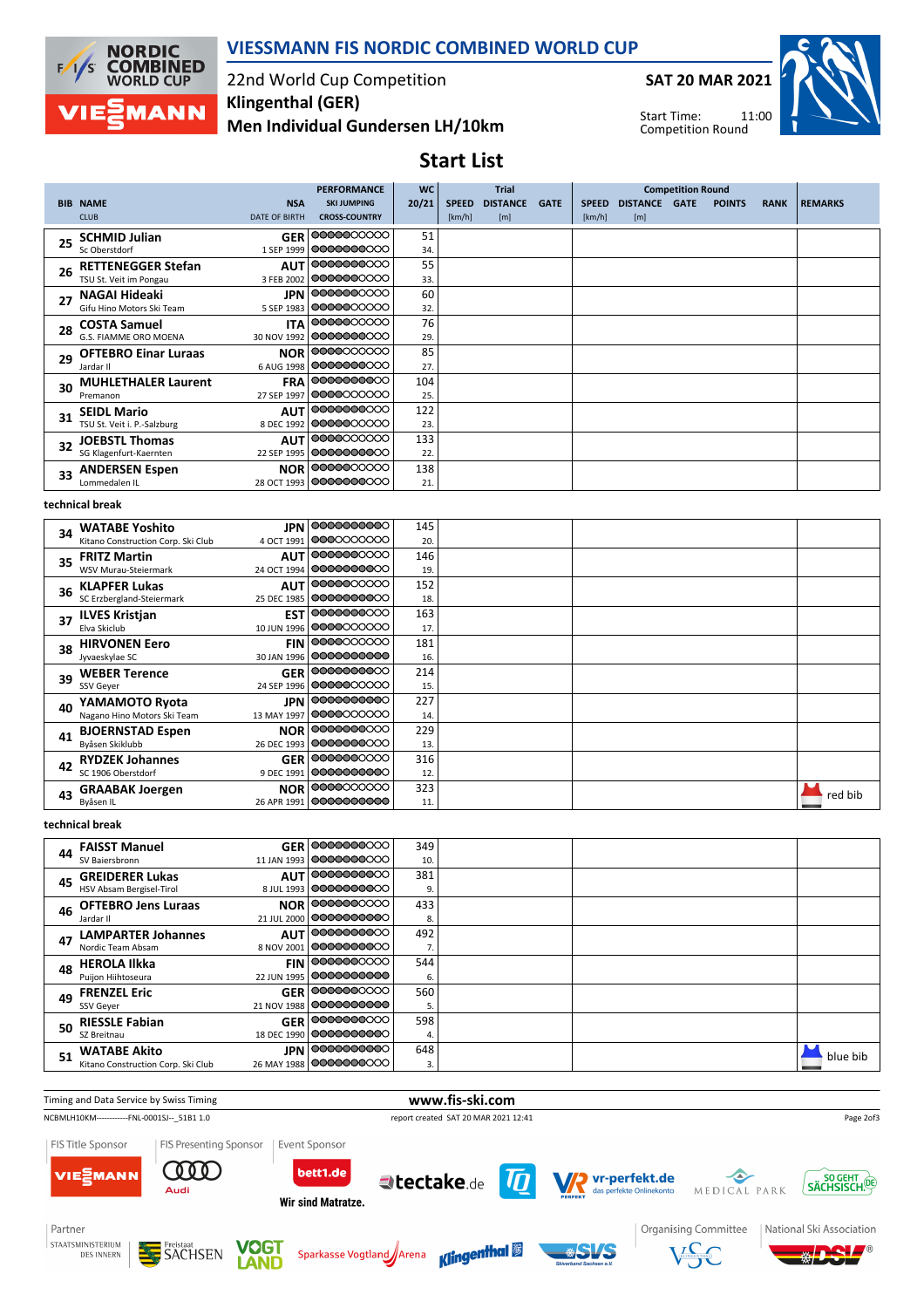

### **VIESSMANN FIS NORDIC COMBINED WORLD CUP**

### 22nd World Cup Competition **Men Individual Gundersen LH/10km Klingenthal (GER)**

**SAT 20 MAR 2021**



11:00 Start Time: Competition Round

## **Start List**

|    |                             |                      | <b>PERFORMANCE</b>        | <b>WC</b> | <b>Trial</b>                    |             |              |                 | <b>Competition Round</b> |               |             |                |
|----|-----------------------------|----------------------|---------------------------|-----------|---------------------------------|-------------|--------------|-----------------|--------------------------|---------------|-------------|----------------|
|    | <b>BIB NAME</b>             | <b>NSA</b>           | <b>SKI JUMPING</b>        | 20/21     | <b>DISTANCE</b><br><b>SPEED</b> | <b>GATE</b> | <b>SPEED</b> | <b>DISTANCE</b> | <b>GATE</b>              | <b>POINTS</b> | <b>RANK</b> | <b>REMARKS</b> |
|    | <b>CLUB</b>                 | <b>DATE OF BIRTH</b> | <b>CROSS-COUNTRY</b>      |           | [km/h]<br>[m]                   |             | [km/h]       | [m]             |                          |               |             |                |
| 25 | <b>SCHMID Julian</b>        |                      | GER 00000000000           | 51        |                                 |             |              |                 |                          |               |             |                |
|    | Sc Oberstdorf               |                      | 1 SEP 1999   00000000000  | 34.       |                                 |             |              |                 |                          |               |             |                |
| 26 | <b>RETTENEGGER Stefan</b>   |                      | <b>AUT 0000000000</b>     | 55        |                                 |             |              |                 |                          |               |             |                |
|    | TSU St. Veit im Pongau      |                      | 3 FEB 2002   00000000000  | 33.       |                                 |             |              |                 |                          |               |             |                |
| 27 | NAGAI Hideaki               |                      | <b>JPN 0000000000</b>     | 60        |                                 |             |              |                 |                          |               |             |                |
|    | Gifu Hino Motors Ski Team   | 5 SEP 1983           | 0000000000                | 32.       |                                 |             |              |                 |                          |               |             |                |
| 28 | <b>COSTA Samuel</b>         | <b>ITA</b>           | 00000000000               | 76        |                                 |             |              |                 |                          |               |             |                |
|    | G.S. FIAMME ORO MOENA       |                      | 30 NOV 1992   OOOOOOOOOOO | 29.       |                                 |             |              |                 |                          |               |             |                |
| 29 | <b>OFTEBRO Einar Luraas</b> |                      | <b>NOR 0000000000</b>     | 85        |                                 |             |              |                 |                          |               |             |                |
|    | Jardar II                   | 6 AUG 1998           | 00000000000               | 27.       |                                 |             |              |                 |                          |               |             |                |
| 30 | <b>MUHLETHALER Laurent</b>  |                      | FRA 0000000000            | 104       |                                 |             |              |                 |                          |               |             |                |
|    | Premanon                    | 27 SEP 1997          | 0000000000                | 25.       |                                 |             |              |                 |                          |               |             |                |
| 31 | <b>SEIDL Mario</b>          |                      | AUT 0000000000            | 122       |                                 |             |              |                 |                          |               |             |                |
|    | TSU St. Veit i. P.-Salzburg |                      | 8 DEC 1992   00000000000  | 23.       |                                 |             |              |                 |                          |               |             |                |
| 32 | <b>JOEBSTL Thomas</b>       |                      | AUT 00000000000           | 133       |                                 |             |              |                 |                          |               |             |                |
|    | SG Klagenfurt-Kaernten      |                      | 22 SEP 1995   00000000000 | 22.       |                                 |             |              |                 |                          |               |             |                |
| 33 | <b>ANDERSEN Espen</b>       |                      | <b>NOR 0000000000</b>     | 138       |                                 |             |              |                 |                          |               |             |                |
|    | Lommedalen IL               |                      | 28 OCT 1993   OOOOOOOOOOO | 21.       |                                 |             |              |                 |                          |               |             |                |

#### **technical break**

| 34 | <b>WATABE Yoshito</b>              |             | <b>JPN</b> 0000000000 | 145 |  |         |
|----|------------------------------------|-------------|-----------------------|-----|--|---------|
|    | Kitano Construction Corp. Ski Club | 4 OCT 1991  | 0000000000            | 20. |  |         |
| 35 | <b>FRITZ Martin</b>                |             | <b>AUT 0000000000</b> | 146 |  |         |
|    | WSV Murau-Steiermark               | 24 OCT 1994 | 0000000000            | 19. |  |         |
| 36 | <b>KLAPFER Lukas</b>               | <b>AUT</b>  | 0000000000            | 152 |  |         |
|    | SC Erzbergland-Steiermark          | 25 DEC 1985 | 0000000000            | 18. |  |         |
| 37 | <b>ILVES Kristjan</b>              |             | <b>EST</b> 0000000000 | 163 |  |         |
|    | Elva Skiclub                       | 10 JUN 1996 | 0000000000            | 17. |  |         |
| 38 | <b>HIRVONEN Eero</b>               |             | <b>FIN 0000000000</b> | 181 |  |         |
|    | Jyvaeskylae SC                     | 30 JAN 1996 | 0000000000            | 16. |  |         |
| 39 | <b>WEBER Terence</b>               |             | GER 0000000000        | 214 |  |         |
|    | SSV Geyer                          | 24 SEP 1996 | 0000000000            | 15. |  |         |
| 40 | YAMAMOTO Ryota                     |             | <b>JPN</b> 0000000000 | 227 |  |         |
|    | Nagano Hino Motors Ski Team        | 13 MAY 1997 | 0000000000            | 14. |  |         |
| 41 | <b>BJOERNSTAD Espen</b>            |             | <b>NOR 0000000000</b> | 229 |  |         |
|    | Byåsen Skiklubb                    | 26 DEC 1993 | 0000000000            | 13. |  |         |
| 42 | <b>RYDZEK Johannes</b>             |             | GER 0000000000        | 316 |  |         |
|    | SC 1906 Oberstdorf                 | 9 DEC 1991  | 0000000000            | 12. |  |         |
| 43 | <b>GRAABAK Joergen</b>             |             | <b>NOR 0000000000</b> | 323 |  | red bib |
|    | Byåsen IL                          | 26 APR 1991 | 0000000000            | 11. |  |         |

#### **technical break**

|    | 44 FAISST Manuel                   | GER 00000000000           | 349 |  |          |
|----|------------------------------------|---------------------------|-----|--|----------|
|    | SV Baiersbronn                     | 11 JAN 1993   00000000000 | 10. |  |          |
| 45 | <b>GREIDERER Lukas</b>             | <b>AUT 0000000000</b>     | 381 |  |          |
|    | HSV Absam Bergisel-Tirol           | 8 JUL 1993   00000000000  | 9.  |  |          |
| 46 | <b>OFTEBRO Jens Luraas</b>         | <b>NOR 0000000000</b>     | 433 |  |          |
|    | Jardar II                          | 21 JUL 2000   00000000000 | 8.  |  |          |
| 47 | <b>LAMPARTER Johannes</b>          | AUT 0000000000            | 492 |  |          |
|    | Nordic Team Absam                  | 8 NOV 2001   00000000000  | 7.  |  |          |
| 48 | <b>HEROLA Ilkka</b>                | <b>FIN 0000000000</b>     | 544 |  |          |
|    | Puijon Hiihtoseura                 | 22 JUN 1995   0000000000  | 6.  |  |          |
| 49 | <b>FRENZEL Eric</b>                | GER 00000000001           | 560 |  |          |
|    | SSV Gever                          | 21 NOV 1988   OOOOOOOOOOO | 5.  |  |          |
| 50 | <b>RIESSLE Fabian</b>              | GER 0000000000            | 598 |  |          |
|    | SZ Breitnau                        | 18 DEC 1990   00000000000 | 4.  |  |          |
| 51 | <b>WATABE Akito</b>                | <b>JPN</b> 0000000000     | 648 |  | blue bib |
|    | Kitano Construction Corp. Ski Club | 26 MAY 1988   OOOOOOOOOOO | 3.  |  |          |

Timing and Data Service by Swiss Timing **www.fis-ski.com** NCBMLH10KM-------------FNL-0001SJ--\_51B1 1.0 report created SAT 20 MAR 2021 12:41 Page 2of3FIS Title Sponsor FIS Presenting Sponsor Event Sponsor **COOD** VIE<sub>E</sub>MANN bett1.de Vr-perfekt.de SÄCHSISCH.<sup>00</sup> tectake.de MEDICAL PARK Audi Wir sind Matratze.